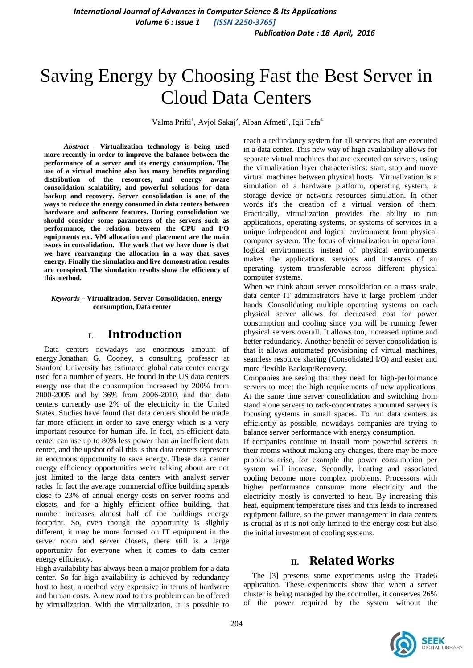# Saving Energy by Choosing Fast the Best Server in Cloud Data Centers

Valma Prifti<sup>1</sup>, Avjol Sakaj<sup>2</sup>, Alban Afmeti<sup>3</sup>, Igli Tafa<sup>4</sup>

*Abstract -* **Virtualization technology is being used more recently in order to improve the balance between the performance of a server and its energy consumption. The use of a virtual machine also has many benefits regarding distribution of the resources, and energy aware consolidation scalability, and powerful solutions for data backup and recovery. Server consolidation is one of the ways to reduce the energy consumed in data centers between hardware and software features. During consolidation we should consider some parameters of the servers such as performance, the relation between the CPU and I/O equipments etc. VM allocation and placement are the main issues in consolidation. The work that we have done is that we have rearranging the allocation in a way that saves energy. Finally the simulation and live demonstration results are conspired. The simulation results show the efficiency of this method.**

*Keywords* **– Virtualization, Server Consolidation, energy consumption, Data center**

### **I. Introduction**

Data centers nowadays use enormous amount of energy.Jonathan G. Cooney, a consulting professor at Stanford University has estimated global data center energy used for a number of years. He found in the US data centers energy use that the consumption increased by 200% from 2000-2005 and by 36% from 2006-2010, and that data centers currently use 2% of the electricity in the United States. Studies have found that data centers should be made far more efficient in order to save energy which is a very important resource for human life. In fact, an efficient data center can use up to 80% less power than an inefficient data center, and the upshot of all this is that data centers represent an enormous opportunity to save energy. These data center energy efficiency opportunities we're talking about are not just limited to the large data centers with analyst server racks. In fact the average commercial office building spends close to 23% of annual energy costs on server rooms and closets, and for a highly efficient office building, that number increases almost half of the buildings energy footprint. So, even though the opportunity is slightly different, it may be more focused on IT equipment in the server room and server closets, there still is a large opportunity for everyone when it comes to data center energy efficiency.

High availability has always been a major problem for a data center. So far high availability is achieved by redundancy host to host, a method very expensive in terms of hardware and human costs. A new road to this problem can be offered by virtualization. With the virtualization, it is possible to reach a redundancy system for all services that are executed in a data center. This new way of high availability allows for separate virtual machines that are executed on servers, using the virtualization layer characteristics: start, stop and move virtual machines between physical hosts. Virtualization is a simulation of a hardware platform, operating system, a storage device or network resources simulation. In other words it's the creation of a virtual version of them. Practically, virtualization provides the ability to run applications, operating systems, or systems of services in a unique independent and logical environment from physical computer system. The focus of virtualization in operational logical environments instead of physical environments makes the applications, services and instances of an operating system transferable across different physical computer systems.

When we think about server consolidation on a mass scale, data center IT administrators have it large problem under hands. Consolidating multiple operating systems on each physical server allows for decreased cost for power consumption and cooling since you will be running fewer physical servers overall. It allows too, increased uptime and better redundancy. Another benefit of server consolidation is that it allows automated provisioning of virtual machines, seamless resource sharing (Consolidated I/O) and easier and more flexible Backup/Recovery.

Companies are seeing that they need for high-performance servers to meet the high requirements of new applications. At the same time server consolidation and switching from stand alone servers to rack-concentrates amounted servers is focusing systems in small spaces. To run data centers as efficiently as possible, nowadays companies are trying to balance server performance with energy consumption.

If companies continue to install more powerful servers in their rooms without making any changes, there may be more problems arise, for example the power consumption per system will increase. Secondly, heating and associated cooling become more complex problems. Processors with higher performance consume more electricity and the electricity mostly is converted to heat. By increasing this heat, equipment temperature rises and this leads to increased equipment failure, so the power management in data centers is crucial as it is not only limited to the energy cost but also the initial investment of cooling systems.

### **II. Related Works**

The [3] presents some experiments using the Trade6 application. These experiments show that when a server cluster is being managed by the controller, it conserves 26% of the power required by the system without the

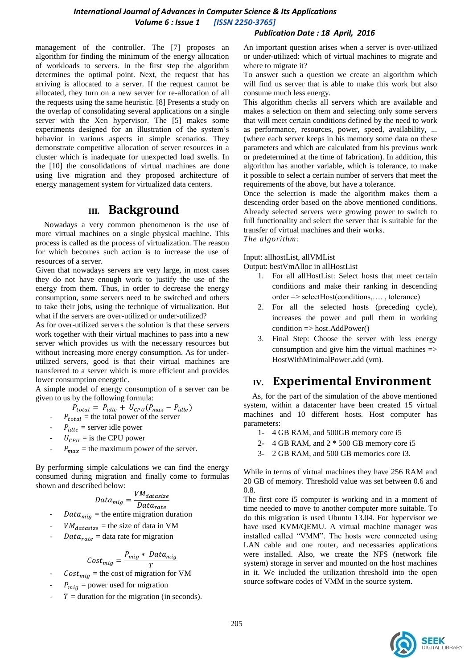#### *International Journal of Advances in Computer Science & Its Applications Volume 6 : Issue 1 [ISSN 2250-3765]*

#### *Publication Date : 18 April, 2016*

management of the controller. The [7] proposes an algorithm for finding the minimum of the energy allocation of workloads to servers. In the first step the algorithm determines the optimal point. Next, the request that has arriving is allocated to a server. If the request cannot be allocated, they turn on a new server for re-allocation of all the requests using the same heuristic. [8] Presents a study on the overlap of consolidating several applications on a single server with the Xen hypervisor. The [5] makes some experiments designed for an illustration of the system's behavior in various aspects in simple scenarios. They demonstrate competitive allocation of server resources in a cluster which is inadequate for unexpected load swells. In the [10] the consolidations of virtual machines are done using live migration and they proposed architecture of energy management system for virtualized data centers.

### **III. Background**

Nowadays a very common phenomenon is the use of more virtual machines on a single physical machine. This process is called as the process of virtualization. The reason for which becomes such action is to increase the use of resources of a server.

Given that nowadays servers are very large, in most cases they do not have enough work to justify the use of the energy from them. Thus, in order to decrease the energy consumption, some servers need to be switched and others to take their jobs, using the technique of virtualization. But what if the servers are over-utilized or under-utilized?

As for over-utilized servers the solution is that these servers work together with their virtual machines to pass into a new server which provides us with the necessary resources but without increasing more energy consumption. As for underutilized servers, good is that their virtual machines are transferred to a server which is more efficient and provides lower consumption energetic.

A simple model of energy consumption of a server can be given to us by the following formula:

$$
P_{total} = P_{idle} + U_{CPU}(P_{max} - P_{idle})
$$

- $P_{total}$  = the total power of the server
- $P_{idle}$  = server idle power
- $U_{\text{CPII}}$  = is the CPU power
- $P_{max}$  = the maximum power of the server.

By performing simple calculations we can find the energy consumed during migration and finally come to formulas shown and described below:

$$
Data_{mig} = \frac{VM_{datasize}}{Data_{rate}}
$$

- $Data_{\text{miq}}$  = the entire migration duration
- $VM_{datasize}$  = the size of data in VM
- $Data_{rate} = data$  rate for migration

$$
Cost_{mig} = \frac{P_{mig} * Data_{mig}}{T}
$$

- $Cost_{\text{mig}}$  = the cost of migration for VM
- $P_{mig}$  = power used for migration
- $T =$  duration for the migration (in seconds).

An important question arises when a server is over-utilized or under-utilized: which of virtual machines to migrate and where to migrate it?

To answer such a question we create an algorithm which will find us server that is able to make this work but also consume much less energy.

This algorithm checks all servers which are available and makes a selection on them and selecting only some servers that will meet certain conditions defined by the need to work as performance, resources, power, speed, availability, ... (where each server keeps in his memory some data on these parameters and which are calculated from his previous work or predetermined at the time of fabrication). In addition, this algorithm has another variable, which is tolerance, to make it possible to select a certain number of servers that meet the requirements of the above, but have a tolerance.

Once the selection is made the algorithm makes them a descending order based on the above mentioned conditions. Already selected servers were growing power to switch to full functionality and select the server that is suitable for the transfer of virtual machines and their works. *The algorithm:*

#### Input: allhostList, allVMList

Output: bestVmAlloc in allHostList

- 1. For all allHostList: Select hosts that meet certain conditions and make their ranking in descending order => selectHost(conditions,…. , tolerance)
- 2. For all the selected hosts (preceding cycle), increases the power and pull them in working  $\text{condition} \Rightarrow \text{host}. \text{AddPower}()$
- 3. Final Step: Choose the server with less energy consumption and give him the virtual machines  $\Rightarrow$ HostWithMinimalPower.add (vm).

### **IV. Experimental Environment**

As, for the part of the simulation of the above mentioned system, within a datacenter have been created 15 virtual machines and 10 different hosts. Host computer has parameters:

- 1- 4 GB RAM, and 500GB memory core i5
- 2- 4 GB RAM, and 2 \* 500 GB memory core i5
- 3- 2 GB RAM, and 500 GB memories core i3.

While in terms of virtual machines they have 256 RAM and 20 GB of memory. Threshold value was set between 0.6 and 0.8.

The first core i5 computer is working and in a moment of time needed to move to another computer more suitable. To do this migration is used Ubuntu 13.04. For hypervisor we have used KVM/QEMU. A virtual machine manager was installed called "VMM". The hosts were connected using LAN cable and one router, and necessaries applications were installed. Also, we create the NFS (network file system) storage in server and mounted on the host machines in it. We included the utilization threshold into the open source software codes of VMM in the source system.

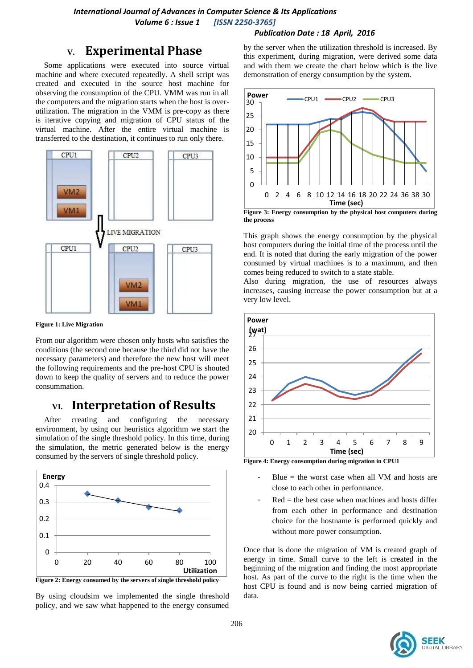#### *Publication Date : 18 April, 2016*

### **V. Experimental Phase**

Some applications were executed into source virtual machine and where executed repeatedly. A shell script was created and executed in the source host machine for observing the consumption of the CPU. VMM was run in all the computers and the migration starts when the host is overutilization. The migration in the VMM is pre-copy as there is iterative copying and migration of CPU status of the virtual machine. After the entire virtual machine is transferred to the destination, it continues to run only there.



**Figure 1: Live Migration**

From our algorithm were chosen only hosts who satisfies the conditions (the second one because the third did not have the necessary parameters) and therefore the new host will meet the following requirements and the pre-host CPU is shouted down to keep the quality of servers and to reduce the power consummation.

## **VI. Interpretation of Results**

After creating and configuring the necessary environment, by using our heuristics algorithm we start the simulation of the single threshold policy. In this time, during the simulation, the metric generated below is the energy consumed by the servers of single threshold policy.



By using cloudsim we implemented the single threshold policy, and we saw what happened to the energy consumed by the server when the utilization threshold is increased. By this experiment, during migration, were derived some data and with them we create the chart below which is the live demonstration of energy consumption by the system.



**the process**

This graph shows the energy consumption by the physical host computers during the initial time of the process until the end. It is noted that during the early migration of the power consumed by virtual machines is to a maximum, and then comes being reduced to switch to a state stable.

Also during migration, the use of resources always increases, causing increase the power consumption but at a very low level.



**Figure 4: Energy consumption during migration in CPU1**

- Blue  $=$  the worst case when all VM and hosts are close to each other in performance.
- $Red =$  the best case when machines and hosts differ from each other in performance and destination choice for the hostname is performed quickly and without more power consumption.

Once that is done the migration of VM is created graph of energy in time. Small curve to the left is created in the beginning of the migration and finding the most appropriate host. As part of the curve to the right is the time when the host CPU is found and is now being carried migration of data.